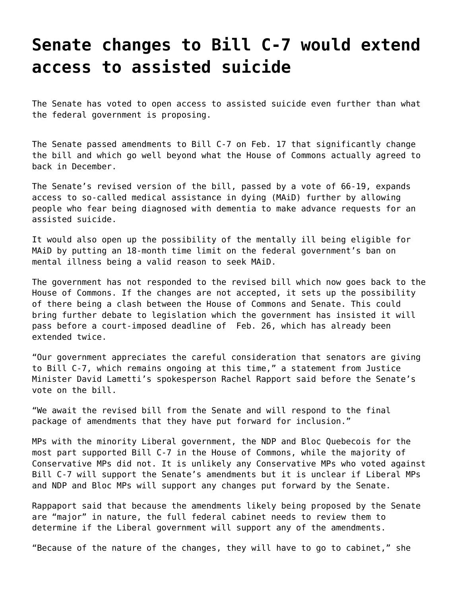## **[Senate changes to Bill C-7 would extend](https://grandinmedia.ca/senate-changes-to-bill-c-7-would-extend-access-to-assisted-suicide/) [access to assisted suicide](https://grandinmedia.ca/senate-changes-to-bill-c-7-would-extend-access-to-assisted-suicide/)**

The Senate has voted to open access to assisted suicide even further than what the federal government is proposing.

The Senate passed amendments to Bill C-7 on Feb. 17 that significantly change the bill and which go well beyond what the House of Commons actually agreed to back in December.

The Senate's revised version of the bill, passed by a vote of 66-19, expands access to so-called medical assistance in dying (MAiD) further by allowing people who fear being diagnosed with dementia to make advance requests for an assisted suicide.

It would also open up the possibility of the mentally ill being eligible for MAiD by putting an 18-month time limit on the federal government's ban on mental illness being a valid reason to seek MAiD.

The government has not responded to the revised bill which now goes back to the House of Commons. If the changes are not accepted, it sets up the possibility of there being a clash between the House of Commons and Senate. This could bring further debate to legislation which the government has insisted it will pass before a court-imposed deadline of Feb. 26, which has already been extended twice.

"Our government appreciates the careful consideration that senators are giving to Bill C-7, which remains ongoing at this time," a statement from Justice Minister David Lametti's spokesperson Rachel Rapport said before the Senate's vote on the bill.

"We await the revised bill from the Senate and will respond to the final package of amendments that they have put forward for inclusion."

MPs with the minority Liberal government, the NDP and Bloc Quebecois for the most part supported Bill C-7 in the House of Commons, while the majority of Conservative MPs did not. It is unlikely any Conservative MPs who voted against Bill C-7 will support the Senate's amendments but it is unclear if Liberal MPs and NDP and Bloc MPs will support any changes put forward by the Senate.

Rappaport said that because the amendments likely being proposed by the Senate are "major" in nature, the full federal cabinet needs to review them to determine if the Liberal government will support any of the amendments.

"Because of the nature of the changes, they will have to go to cabinet," she